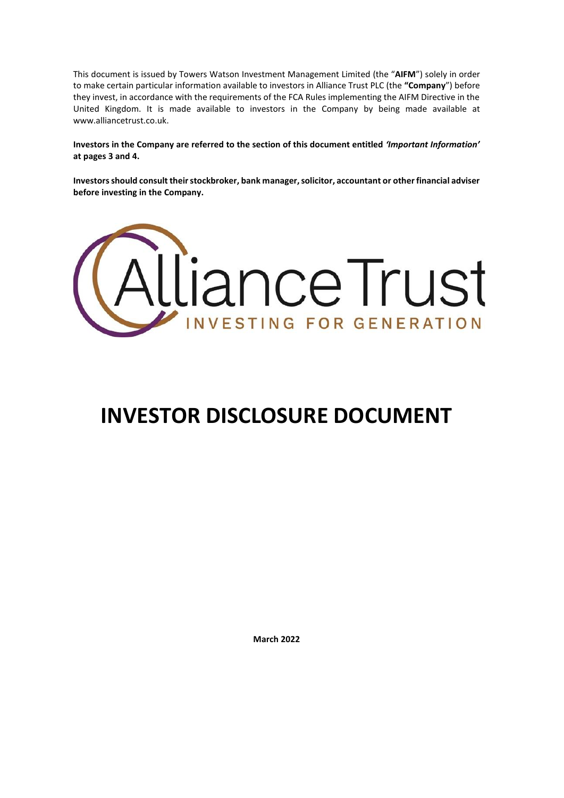This document is issued by Towers Watson Investment Management Limited (the "**AIFM**") solely in order to make certain particular information available to investors in Alliance Trust PLC (the **"Company**") before they invest, in accordance with the requirements of the FCA Rules implementing the AIFM Directive in the United Kingdom. It is made available to investors in the Company by being made available at www.alliancetrust.co.uk.

**Investors in the Company are referred to the section of this document entitled** *'Important Information'* **at pages 3 and 4.**

**Investors should consult their stockbroker, bank manager, solicitor, accountant or other financial adviser before investing in the Company.**



# **INVESTOR DISCLOSURE DOCUMENT**

**March 2022**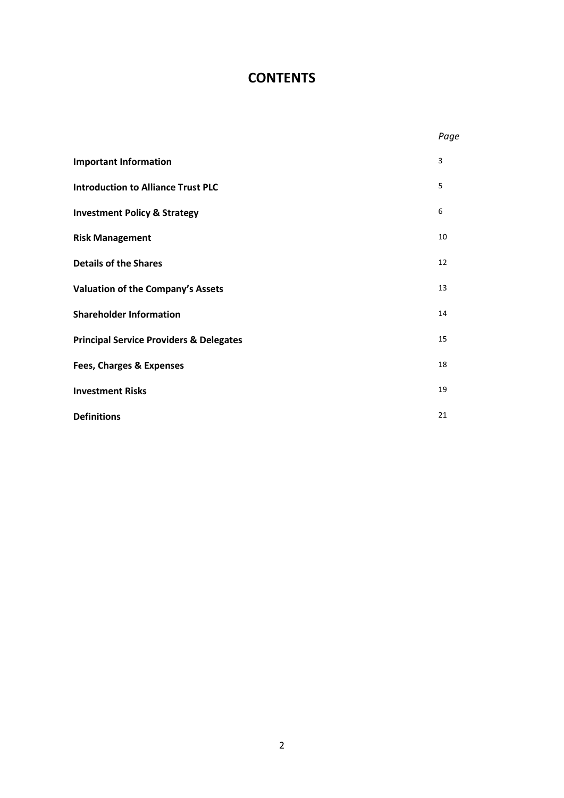### **CONTENTS**

|                                                    | Page |
|----------------------------------------------------|------|
| <b>Important Information</b>                       | 3    |
| <b>Introduction to Alliance Trust PLC</b>          | 5    |
| <b>Investment Policy &amp; Strategy</b>            | 6    |
| <b>Risk Management</b>                             | 10   |
| <b>Details of the Shares</b>                       | 12   |
| <b>Valuation of the Company's Assets</b>           | 13   |
| <b>Shareholder Information</b>                     | 14   |
| <b>Principal Service Providers &amp; Delegates</b> | 15   |
| <b>Fees, Charges &amp; Expenses</b>                | 18   |
| <b>Investment Risks</b>                            | 19   |
| <b>Definitions</b>                                 | 21   |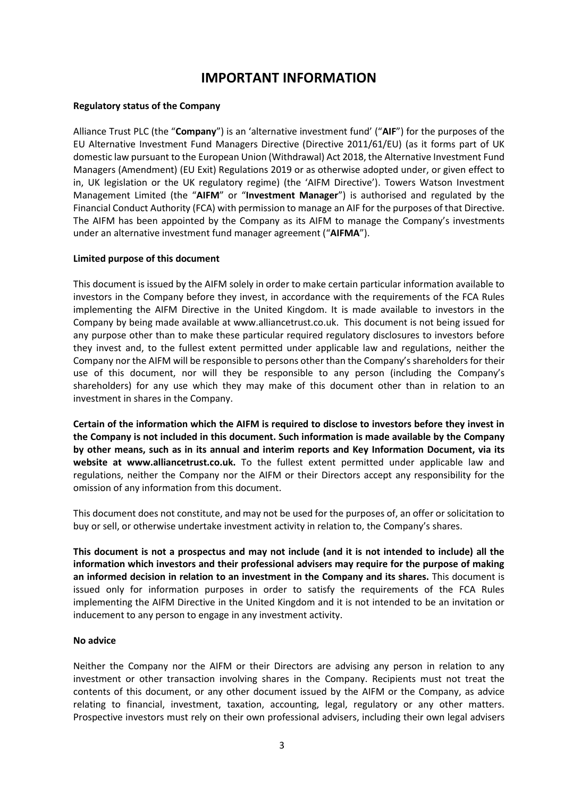### **IMPORTANT INFORMATION**

### **Regulatory status of the Company**

Alliance Trust PLC (the "**Company**") is an 'alternative investment fund' ("**AIF**") for the purposes of the EU Alternative Investment Fund Managers Directive (Directive 2011/61/EU) (as it forms part of UK domestic law pursuant to the European Union (Withdrawal) Act 2018, the Alternative Investment Fund Managers (Amendment) (EU Exit) Regulations 2019 or as otherwise adopted under, or given effect to in, UK legislation or the UK regulatory regime) (the 'AIFM Directive'). Towers Watson Investment Management Limited (the "**AIFM**" or "**Investment Manager**") is authorised and regulated by the Financial Conduct Authority (FCA) with permission to manage an AIF for the purposes of that Directive. The AIFM has been appointed by the Company as its AIFM to manage the Company's investments under an alternative investment fund manager agreement ("**AIFMA**").

### **Limited purpose of this document**

This document is issued by the AIFM solely in order to make certain particular information available to investors in the Company before they invest, in accordance with the requirements of the FCA Rules implementing the AIFM Directive in the United Kingdom. It is made available to investors in the Company by being made available at www.alliancetrust.co.uk. This document is not being issued for any purpose other than to make these particular required regulatory disclosures to investors before they invest and, to the fullest extent permitted under applicable law and regulations, neither the Company nor the AIFM will be responsible to persons other than the Company's shareholders for their use of this document, nor will they be responsible to any person (including the Company's shareholders) for any use which they may make of this document other than in relation to an investment in shares in the Company.

**Certain of the information which the AIFM is required to disclose to investors before they invest in the Company is not included in this document. Such information is made available by the Company by other means, such as in its annual and interim reports and Key Information Document, via its website at www.alliancetrust.co.uk.** To the fullest extent permitted under applicable law and regulations, neither the Company nor the AIFM or their Directors accept any responsibility for the omission of any information from this document.

This document does not constitute, and may not be used for the purposes of, an offer or solicitation to buy or sell, or otherwise undertake investment activity in relation to, the Company's shares.

**This document is not a prospectus and may not include (and it is not intended to include) all the information which investors and their professional advisers may require for the purpose of making an informed decision in relation to an investment in the Company and its shares.** This document is issued only for information purposes in order to satisfy the requirements of the FCA Rules implementing the AIFM Directive in the United Kingdom and it is not intended to be an invitation or inducement to any person to engage in any investment activity.

### **No advice**

Neither the Company nor the AIFM or their Directors are advising any person in relation to any investment or other transaction involving shares in the Company. Recipients must not treat the contents of this document, or any other document issued by the AIFM or the Company, as advice relating to financial, investment, taxation, accounting, legal, regulatory or any other matters. Prospective investors must rely on their own professional advisers, including their own legal advisers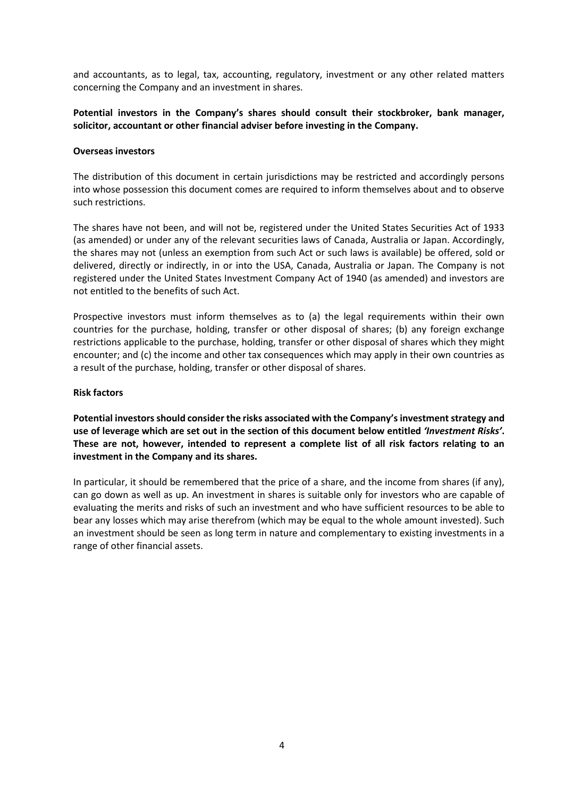and accountants, as to legal, tax, accounting, regulatory, investment or any other related matters concerning the Company and an investment in shares.

### **Potential investors in the Company's shares should consult their stockbroker, bank manager, solicitor, accountant or other financial adviser before investing in the Company.**

#### **Overseas investors**

The distribution of this document in certain jurisdictions may be restricted and accordingly persons into whose possession this document comes are required to inform themselves about and to observe such restrictions.

The shares have not been, and will not be, registered under the United States Securities Act of 1933 (as amended) or under any of the relevant securities laws of Canada, Australia or Japan. Accordingly, the shares may not (unless an exemption from such Act or such laws is available) be offered, sold or delivered, directly or indirectly, in or into the USA, Canada, Australia or Japan. The Company is not registered under the United States Investment Company Act of 1940 (as amended) and investors are not entitled to the benefits of such Act.

Prospective investors must inform themselves as to (a) the legal requirements within their own countries for the purchase, holding, transfer or other disposal of shares; (b) any foreign exchange restrictions applicable to the purchase, holding, transfer or other disposal of shares which they might encounter; and (c) the income and other tax consequences which may apply in their own countries as a result of the purchase, holding, transfer or other disposal of shares.

#### **Risk factors**

**Potential investors should consider the risks associated with the Company's investment strategy and use of leverage which are set out in the section of this document below entitled** *'Investment Risks'***. These are not, however, intended to represent a complete list of all risk factors relating to an investment in the Company and its shares.**

In particular, it should be remembered that the price of a share, and the income from shares (if any), can go down as well as up. An investment in shares is suitable only for investors who are capable of evaluating the merits and risks of such an investment and who have sufficient resources to be able to bear any losses which may arise therefrom (which may be equal to the whole amount invested). Such an investment should be seen as long term in nature and complementary to existing investments in a range of other financial assets.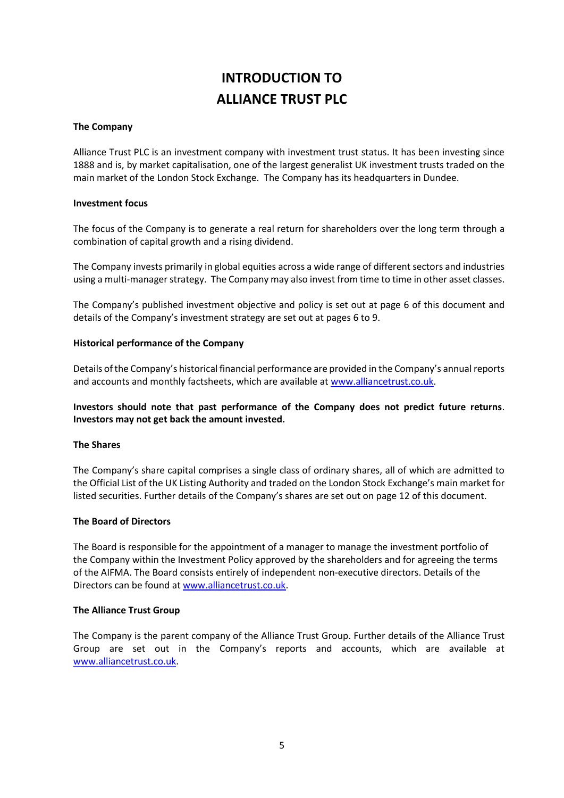# **INTRODUCTION TO ALLIANCE TRUST PLC**

### **The Company**

Alliance Trust PLC is an investment company with investment trust status. It has been investing since 1888 and is, by market capitalisation, one of the largest generalist UK investment trusts traded on the main market of the London Stock Exchange. The Company has its headquarters in Dundee.

### **Investment focus**

The focus of the Company is to generate a real return for shareholders over the long term through a combination of capital growth and a rising dividend.

The Company invests primarily in global equities across a wide range of different sectors and industries using a multi-manager strategy. The Company may also invest from time to time in other asset classes.

The Company's published investment objective and policy is set out at page 6 of this document and details of the Company's investment strategy are set out at pages 6 to 9.

### **Historical performance of the Company**

Details of the Company's historical financial performance are provided in the Company's annual reports and accounts and monthly factsheets, which are available at [www.alliancetrust.co.uk.](http://www.alliancetrust.co.uk/)

### **Investors should note that past performance of the Company does not predict future returns**. **Investors may not get back the amount invested.**

### **The Shares**

The Company's share capital comprises a single class of ordinary shares, all of which are admitted to the Official List of the UK Listing Authority and traded on the London Stock Exchange's main market for listed securities. Further details of the Company's shares are set out on page 12 of this document.

### **The Board of Directors**

The Board is responsible for the appointment of a manager to manage the investment portfolio of the Company within the Investment Policy approved by the shareholders and for agreeing the terms of the AIFMA. The Board consists entirely of independent non-executive directors. Details of the Directors can be found at [www.alliancetrust.co.uk.](http://www.alliancetrust.co.uk/)

### **The Alliance Trust Group**

The Company is the parent company of the Alliance Trust Group. Further details of the Alliance Trust Group are set out in the Company's reports and accounts, which are available at [www.alliancetrust.co.uk.](http://www.alliancetrust.co.uk/)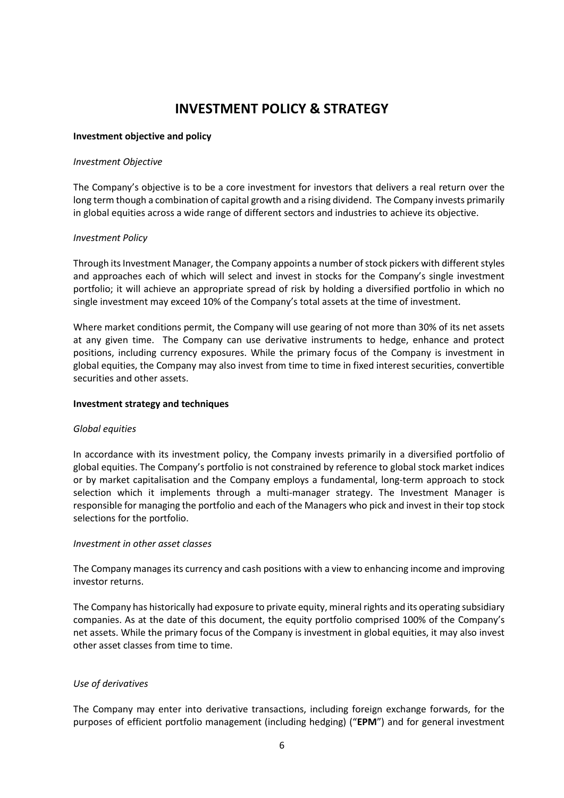### **INVESTMENT POLICY & STRATEGY**

### **Investment objective and policy**

### *Investment Objective*

The Company's objective is to be a core investment for investors that delivers a real return over the long term though a combination of capital growth and a rising dividend. The Company invests primarily in global equities across a wide range of different sectors and industries to achieve its objective.

### *Investment Policy*

Through its Investment Manager, the Company appoints a number of stock pickers with different styles and approaches each of which will select and invest in stocks for the Company's single investment portfolio; it will achieve an appropriate spread of risk by holding a diversified portfolio in which no single investment may exceed 10% of the Company's total assets at the time of investment.

Where market conditions permit, the Company will use gearing of not more than 30% of its net assets at any given time. The Company can use derivative instruments to hedge, enhance and protect positions, including currency exposures. While the primary focus of the Company is investment in global equities, the Company may also invest from time to time in fixed interest securities, convertible securities and other assets.

### **Investment strategy and techniques**

### *Global equities*

In accordance with its investment policy, the Company invests primarily in a diversified portfolio of global equities. The Company's portfolio is not constrained by reference to global stock market indices or by market capitalisation and the Company employs a fundamental, long-term approach to stock selection which it implements through a multi-manager strategy. The Investment Manager is responsible for managing the portfolio and each of the Managers who pick and invest in their top stock selections for the portfolio.

### *Investment in other asset classes*

The Company manages its currency and cash positions with a view to enhancing income and improving investor returns.

The Company has historically had exposure to private equity, mineral rights and its operating subsidiary companies. As at the date of this document, the equity portfolio comprised 100% of the Company's net assets. While the primary focus of the Company is investment in global equities, it may also invest other asset classes from time to time.

### *Use of derivatives*

The Company may enter into derivative transactions, including foreign exchange forwards, for the purposes of efficient portfolio management (including hedging) ("**EPM**") and for general investment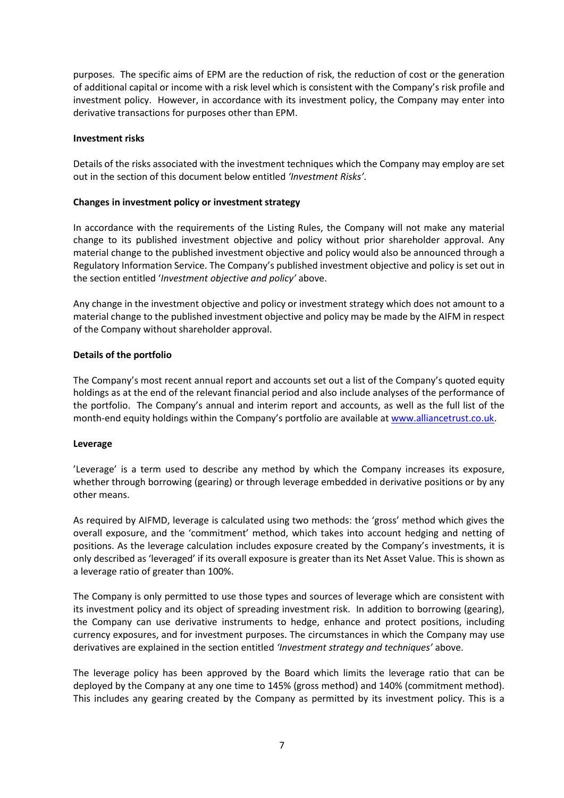purposes. The specific aims of EPM are the reduction of risk, the reduction of cost or the generation of additional capital or income with a risk level which is consistent with the Company's risk profile and investment policy. However, in accordance with its investment policy, the Company may enter into derivative transactions for purposes other than EPM.

#### **Investment risks**

Details of the risks associated with the investment techniques which the Company may employ are set out in the section of this document below entitled *'Investment Risks'*.

### **Changes in investment policy or investment strategy**

In accordance with the requirements of the Listing Rules, the Company will not make any material change to its published investment objective and policy without prior shareholder approval. Any material change to the published investment objective and policy would also be announced through a Regulatory Information Service. The Company's published investment objective and policy is set out in the section entitled '*Investment objective and policy'* above.

Any change in the investment objective and policy or investment strategy which does not amount to a material change to the published investment objective and policy may be made by the AIFM in respect of the Company without shareholder approval.

#### **Details of the portfolio**

The Company's most recent annual report and accounts set out a list of the Company's quoted equity holdings as at the end of the relevant financial period and also include analyses of the performance of the portfolio. The Company's annual and interim report and accounts, as well as the full list of the month-end equity holdings within the Company's portfolio are available at [www.alliancetrust.co.uk.](http://www.alliancetrust.co.uk/)

#### **Leverage**

'Leverage' is a term used to describe any method by which the Company increases its exposure, whether through borrowing (gearing) or through leverage embedded in derivative positions or by any other means.

As required by AIFMD, leverage is calculated using two methods: the 'gross' method which gives the overall exposure, and the 'commitment' method, which takes into account hedging and netting of positions. As the leverage calculation includes exposure created by the Company's investments, it is only described as 'leveraged' if its overall exposure is greater than its Net Asset Value. This is shown as a leverage ratio of greater than 100%.

The Company is only permitted to use those types and sources of leverage which are consistent with its investment policy and its object of spreading investment risk. In addition to borrowing (gearing), the Company can use derivative instruments to hedge, enhance and protect positions, including currency exposures, and for investment purposes. The circumstances in which the Company may use derivatives are explained in the section entitled *'Investment strategy and techniques'* above.

The leverage policy has been approved by the Board which limits the leverage ratio that can be deployed by the Company at any one time to 145% (gross method) and 140% (commitment method). This includes any gearing created by the Company as permitted by its investment policy. This is a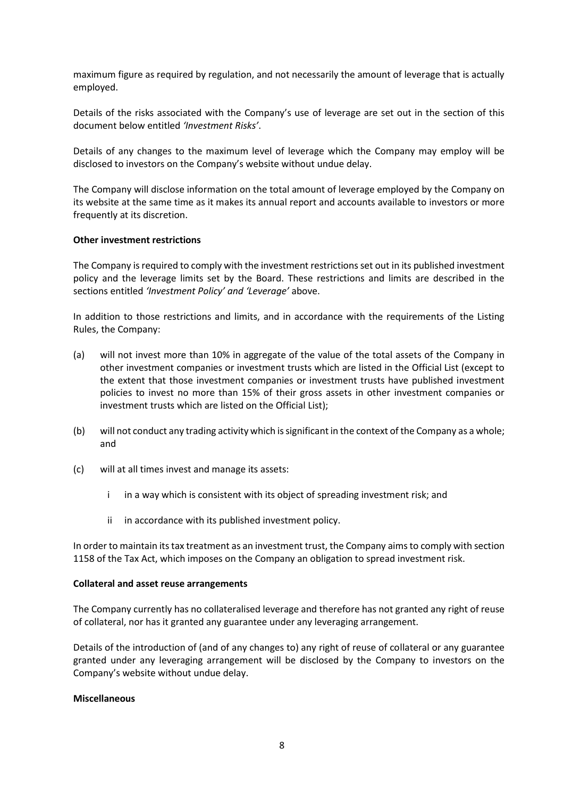maximum figure as required by regulation, and not necessarily the amount of leverage that is actually employed.

Details of the risks associated with the Company's use of leverage are set out in the section of this document below entitled *'Investment Risks'*.

Details of any changes to the maximum level of leverage which the Company may employ will be disclosed to investors on the Company's website without undue delay.

The Company will disclose information on the total amount of leverage employed by the Company on its website at the same time as it makes its annual report and accounts available to investors or more frequently at its discretion.

#### **Other investment restrictions**

The Company is required to comply with the investment restrictions set out in its published investment policy and the leverage limits set by the Board. These restrictions and limits are described in the sections entitled *'Investment Policy' and 'Leverage'* above.

In addition to those restrictions and limits, and in accordance with the requirements of the Listing Rules, the Company:

- (a) will not invest more than 10% in aggregate of the value of the total assets of the Company in other investment companies or investment trusts which are listed in the Official List (except to the extent that those investment companies or investment trusts have published investment policies to invest no more than 15% of their gross assets in other investment companies or investment trusts which are listed on the Official List);
- (b) will not conduct any trading activity which is significant in the context of the Company as a whole; and
- (c) will at all times invest and manage its assets:
	- i in a way which is consistent with its object of spreading investment risk; and
	- ii in accordance with its published investment policy.

In order to maintain its tax treatment as an investment trust, the Company aims to comply with section 1158 of the Tax Act, which imposes on the Company an obligation to spread investment risk.

#### **Collateral and asset reuse arrangements**

The Company currently has no collateralised leverage and therefore has not granted any right of reuse of collateral, nor has it granted any guarantee under any leveraging arrangement.

Details of the introduction of (and of any changes to) any right of reuse of collateral or any guarantee granted under any leveraging arrangement will be disclosed by the Company to investors on the Company's website without undue delay.

#### **Miscellaneous**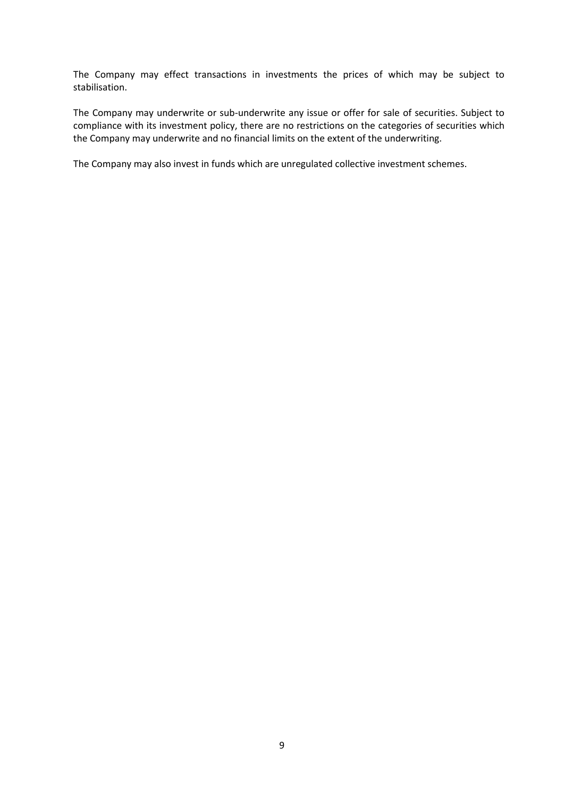The Company may effect transactions in investments the prices of which may be subject to stabilisation.

The Company may underwrite or sub-underwrite any issue or offer for sale of securities. Subject to compliance with its investment policy, there are no restrictions on the categories of securities which the Company may underwrite and no financial limits on the extent of the underwriting.

The Company may also invest in funds which are unregulated collective investment schemes.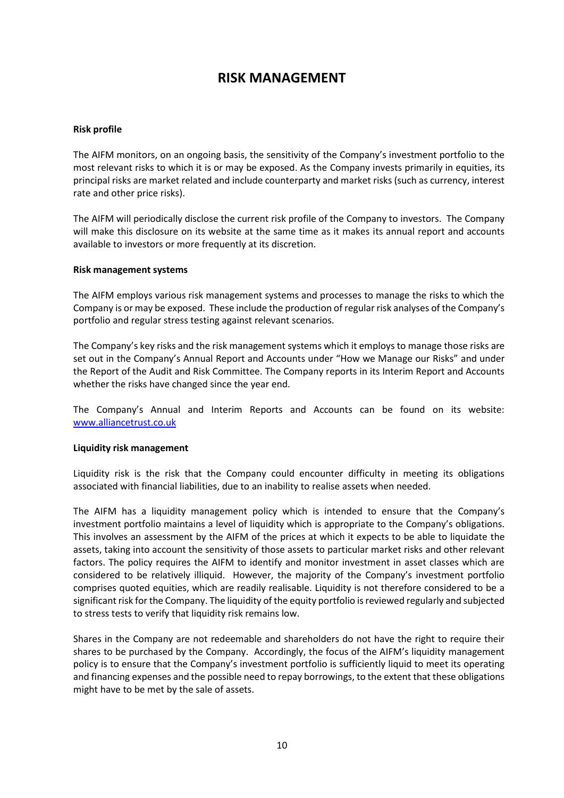### **RISK MANAGEMENT**

### **Risk profile**

The AIFM monitors, on an ongoing basis, the sensitivity of the Company's investment portfolio to the most relevant risks to which it is or may be exposed. As the Company invests primarily in equities, its principal risks are market related and include counterparty and market risks (such as currency, interest rate and other price risks).

The AIFM will periodically disclose the current risk profile of the Company to investors. The Company will make this disclosure on its website at the same time as it makes its annual report and accounts available to investors or more frequently at its discretion.

#### **Risk management systems**

The AIFM employs various risk management systems and processes to manage the risks to which the Company is or may be exposed. These include the production of regular risk analyses of the Company's portfolio and regular stress testing against relevant scenarios.

The Company's key risks and the risk management systems which it employs to manage those risks are set out in the Company's Annual Report and Accounts under "How we Manage our Risks" and under the Report of the Audit and Risk Committee. The Company reports in its Interim Report and Accounts whether the risks have changed since the year end.

The Company's Annual and Interim Reports and Accounts can be found on its website: [www.alliancetrust.co.uk](http://www.alliancetrust.co.uk/)

### **Liquidity risk management**

Liquidity risk is the risk that the Company could encounter difficulty in meeting its obligations associated with financial liabilities, due to an inability to realise assets when needed.

The AIFM has a liquidity management policy which is intended to ensure that the Company's investment portfolio maintains a level of liquidity which is appropriate to the Company's obligations. This involves an assessment by the AIFM of the prices at which it expects to be able to liquidate the assets, taking into account the sensitivity of those assets to particular market risks and other relevant factors. The policy requires the AIFM to identify and monitor investment in asset classes which are considered to be relatively illiquid. However, the majority of the Company's investment portfolio comprises quoted equities, which are readily realisable. Liquidity is not therefore considered to be a significant risk for the Company. The liquidity of the equity portfolio is reviewed regularly and subjected to stress tests to verify that liquidity risk remains low.

Shares in the Company are not redeemable and shareholders do not have the right to require their shares to be purchased by the Company. Accordingly, the focus of the AIFM's liquidity management policy is to ensure that the Company's investment portfolio is sufficiently liquid to meet its operating and financing expenses and the possible need to repay borrowings, to the extent that these obligations might have to be met by the sale of assets.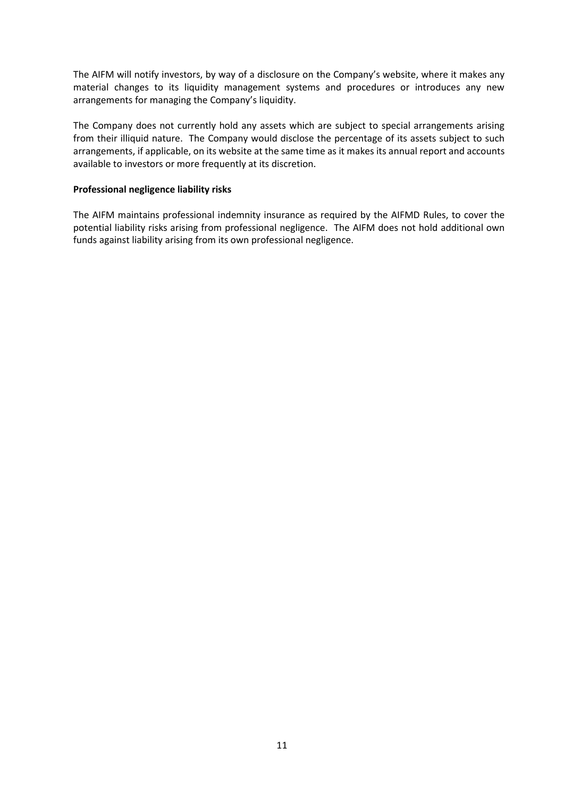The AIFM will notify investors, by way of a disclosure on the Company's website, where it makes any material changes to its liquidity management systems and procedures or introduces any new arrangements for managing the Company's liquidity.

The Company does not currently hold any assets which are subject to special arrangements arising from their illiquid nature. The Company would disclose the percentage of its assets subject to such arrangements, if applicable, on its website at the same time as it makes its annual report and accounts available to investors or more frequently at its discretion.

### **Professional negligence liability risks**

The AIFM maintains professional indemnity insurance as required by the AIFMD Rules, to cover the potential liability risks arising from professional negligence. The AIFM does not hold additional own funds against liability arising from its own professional negligence.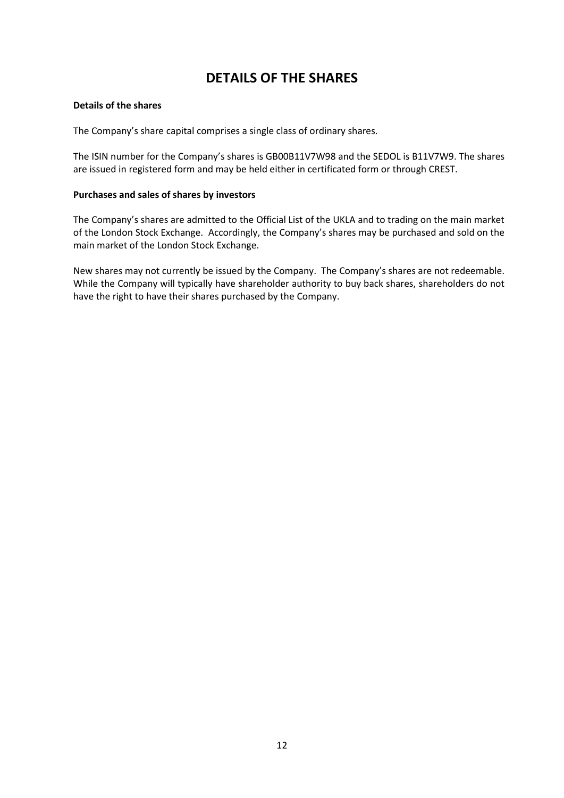### **DETAILS OF THE SHARES**

### **Details of the shares**

The Company's share capital comprises a single class of ordinary shares.

The ISIN number for the Company's shares is GB00B11V7W98 and the SEDOL is B11V7W9. The shares are issued in registered form and may be held either in certificated form or through CREST.

### **Purchases and sales of shares by investors**

The Company's shares are admitted to the Official List of the UKLA and to trading on the main market of the London Stock Exchange. Accordingly, the Company's shares may be purchased and sold on the main market of the London Stock Exchange.

New shares may not currently be issued by the Company. The Company's shares are not redeemable. While the Company will typically have shareholder authority to buy back shares, shareholders do not have the right to have their shares purchased by the Company.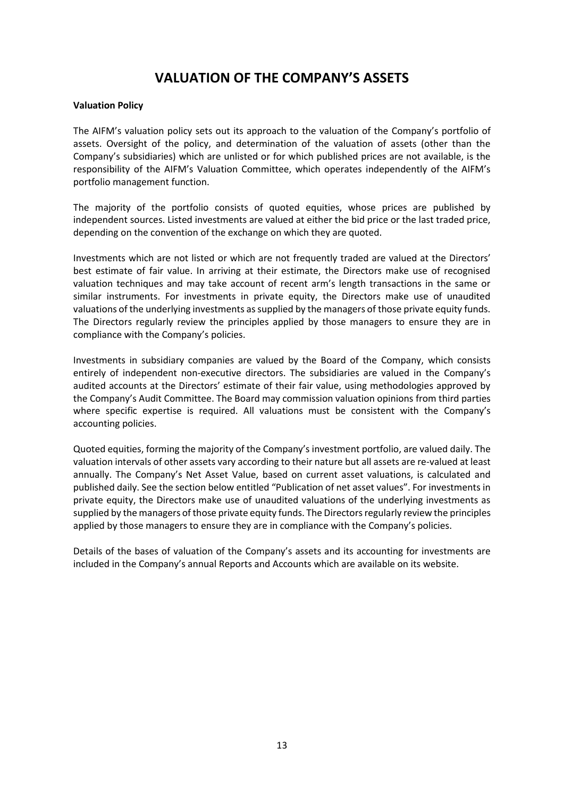### **VALUATION OF THE COMPANY'S ASSETS**

### **Valuation Policy**

The AIFM's valuation policy sets out its approach to the valuation of the Company's portfolio of assets. Oversight of the policy, and determination of the valuation of assets (other than the Company's subsidiaries) which are unlisted or for which published prices are not available, is the responsibility of the AIFM's Valuation Committee, which operates independently of the AIFM's portfolio management function.

The majority of the portfolio consists of quoted equities, whose prices are published by independent sources. Listed investments are valued at either the bid price or the last traded price, depending on the convention of the exchange on which they are quoted.

Investments which are not listed or which are not frequently traded are valued at the Directors' best estimate of fair value. In arriving at their estimate, the Directors make use of recognised valuation techniques and may take account of recent arm's length transactions in the same or similar instruments. For investments in private equity, the Directors make use of unaudited valuations of the underlying investments as supplied by the managers of those private equity funds. The Directors regularly review the principles applied by those managers to ensure they are in compliance with the Company's policies.

Investments in subsidiary companies are valued by the Board of the Company, which consists entirely of independent non-executive directors. The subsidiaries are valued in the Company's audited accounts at the Directors' estimate of their fair value, using methodologies approved by the Company's Audit Committee. The Board may commission valuation opinions from third parties where specific expertise is required. All valuations must be consistent with the Company's accounting policies.

Quoted equities, forming the majority of the Company's investment portfolio, are valued daily. The valuation intervals of other assets vary according to their nature but all assets are re-valued at least annually. The Company's Net Asset Value, based on current asset valuations, is calculated and published daily. See the section below entitled "Publication of net asset values". For investments in private equity, the Directors make use of unaudited valuations of the underlying investments as supplied by the managers of those private equity funds. The Directors regularly review the principles applied by those managers to ensure they are in compliance with the Company's policies.

Details of the bases of valuation of the Company's assets and its accounting for investments are included in the Company's annual Reports and Accounts which are available on its website.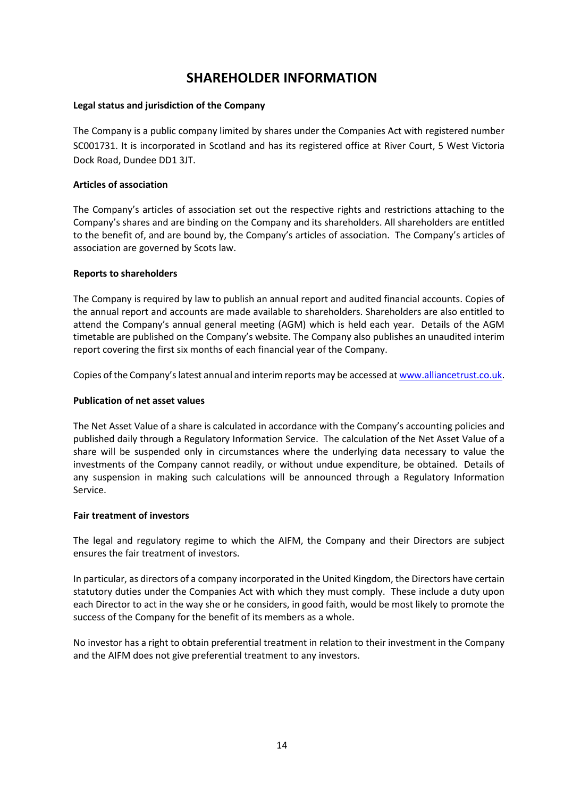### **SHAREHOLDER INFORMATION**

### **Legal status and jurisdiction of the Company**

The Company is a public company limited by shares under the Companies Act with registered number SC001731. It is incorporated in Scotland and has its registered office at River Court, 5 West Victoria Dock Road, Dundee DD1 3JT.

### **Articles of association**

The Company's articles of association set out the respective rights and restrictions attaching to the Company's shares and are binding on the Company and its shareholders. All shareholders are entitled to the benefit of, and are bound by, the Company's articles of association. The Company's articles of association are governed by Scots law.

### **Reports to shareholders**

The Company is required by law to publish an annual report and audited financial accounts. Copies of the annual report and accounts are made available to shareholders. Shareholders are also entitled to attend the Company's annual general meeting (AGM) which is held each year. Details of the AGM timetable are published on the Company's website. The Company also publishes an unaudited interim report covering the first six months of each financial year of the Company.

Copies of the Company's latest annual and interim reports may be accessed at [www.alliancetrust.co.uk.](http://www.alliancetrust.co.uk/)

### **Publication of net asset values**

The Net Asset Value of a share is calculated in accordance with the Company's accounting policies and published daily through a Regulatory Information Service. The calculation of the Net Asset Value of a share will be suspended only in circumstances where the underlying data necessary to value the investments of the Company cannot readily, or without undue expenditure, be obtained. Details of any suspension in making such calculations will be announced through a Regulatory Information Service.

### **Fair treatment of investors**

The legal and regulatory regime to which the AIFM, the Company and their Directors are subject ensures the fair treatment of investors.

In particular, as directors of a company incorporated in the United Kingdom, the Directors have certain statutory duties under the Companies Act with which they must comply. These include a duty upon each Director to act in the way she or he considers, in good faith, would be most likely to promote the success of the Company for the benefit of its members as a whole.

No investor has a right to obtain preferential treatment in relation to their investment in the Company and the AIFM does not give preferential treatment to any investors.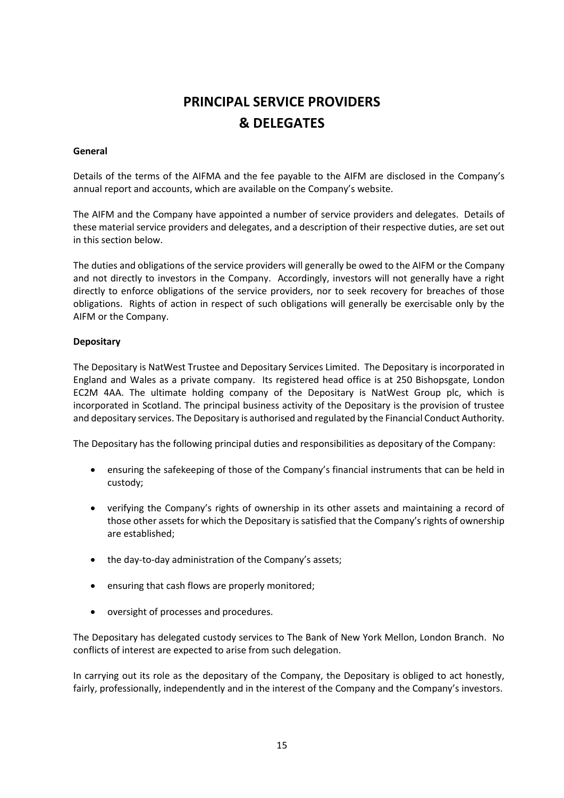# **PRINCIPAL SERVICE PROVIDERS & DELEGATES**

### **General**

Details of the terms of the AIFMA and the fee payable to the AIFM are disclosed in the Company's annual report and accounts, which are available on the Company's website.

The AIFM and the Company have appointed a number of service providers and delegates. Details of these material service providers and delegates, and a description of their respective duties, are set out in this section below.

The duties and obligations of the service providers will generally be owed to the AIFM or the Company and not directly to investors in the Company. Accordingly, investors will not generally have a right directly to enforce obligations of the service providers, nor to seek recovery for breaches of those obligations. Rights of action in respect of such obligations will generally be exercisable only by the AIFM or the Company.

### **Depositary**

The Depositary is NatWest Trustee and Depositary Services Limited. The Depositary is incorporated in England and Wales as a private company. Its registered head office is at 250 Bishopsgate, London EC2M 4AA. The ultimate holding company of the Depositary is NatWest Group plc, which is incorporated in Scotland. The principal business activity of the Depositary is the provision of trustee and depositary services. The Depositary is authorised and regulated by the Financial Conduct Authority.

The Depositary has the following principal duties and responsibilities as depositary of the Company:

- ensuring the safekeeping of those of the Company's financial instruments that can be held in custody;
- verifying the Company's rights of ownership in its other assets and maintaining a record of those other assets for which the Depositary is satisfied that the Company's rights of ownership are established;
- the day-to-day administration of the Company's assets;
- ensuring that cash flows are properly monitored;
- oversight of processes and procedures.

The Depositary has delegated custody services to The Bank of New York Mellon, London Branch. No conflicts of interest are expected to arise from such delegation.

In carrying out its role as the depositary of the Company, the Depositary is obliged to act honestly, fairly, professionally, independently and in the interest of the Company and the Company's investors.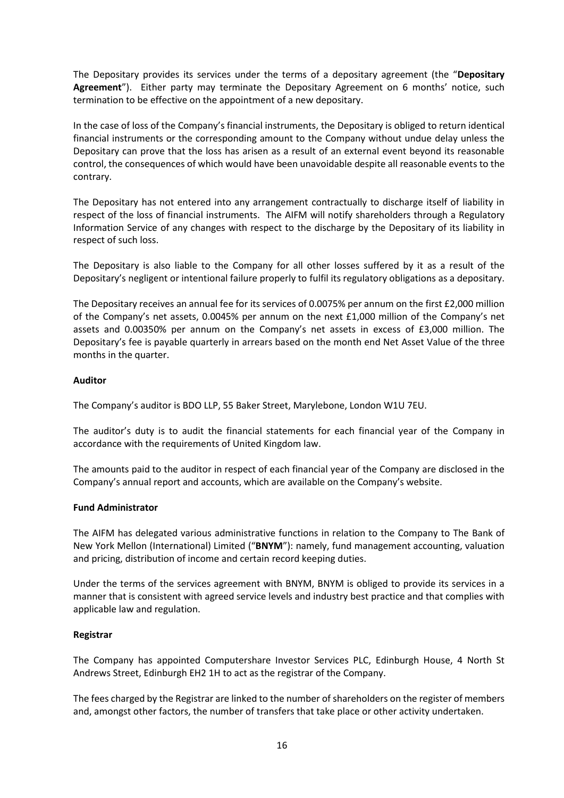The Depositary provides its services under the terms of a depositary agreement (the "**Depositary Agreement**"). Either party may terminate the Depositary Agreement on 6 months' notice, such termination to be effective on the appointment of a new depositary.

In the case of loss of the Company's financial instruments, the Depositary is obliged to return identical financial instruments or the corresponding amount to the Company without undue delay unless the Depositary can prove that the loss has arisen as a result of an external event beyond its reasonable control, the consequences of which would have been unavoidable despite all reasonable events to the contrary.

The Depositary has not entered into any arrangement contractually to discharge itself of liability in respect of the loss of financial instruments. The AIFM will notify shareholders through a Regulatory Information Service of any changes with respect to the discharge by the Depositary of its liability in respect of such loss.

The Depositary is also liable to the Company for all other losses suffered by it as a result of the Depositary's negligent or intentional failure properly to fulfil its regulatory obligations as a depositary.

The Depositary receives an annual fee for its services of 0.0075% per annum on the first £2,000 million of the Company's net assets, 0.0045% per annum on the next £1,000 million of the Company's net assets and 0.00350% per annum on the Company's net assets in excess of £3,000 million. The Depositary's fee is payable quarterly in arrears based on the month end Net Asset Value of the three months in the quarter.

### **Auditor**

The Company's auditor is BDO LLP, 55 Baker Street, Marylebone, London W1U 7EU.

The auditor's duty is to audit the financial statements for each financial year of the Company in accordance with the requirements of United Kingdom law.

The amounts paid to the auditor in respect of each financial year of the Company are disclosed in the Company's annual report and accounts, which are available on the Company's website.

### **Fund Administrator**

The AIFM has delegated various administrative functions in relation to the Company to The Bank of New York Mellon (International) Limited ("**BNYM**"): namely, fund management accounting, valuation and pricing, distribution of income and certain record keeping duties.

Under the terms of the services agreement with BNYM, BNYM is obliged to provide its services in a manner that is consistent with agreed service levels and industry best practice and that complies with applicable law and regulation.

### **Registrar**

The Company has appointed Computershare Investor Services PLC, Edinburgh House, 4 North St Andrews Street, Edinburgh EH2 1H to act as the registrar of the Company.

The fees charged by the Registrar are linked to the number of shareholders on the register of members and, amongst other factors, the number of transfers that take place or other activity undertaken.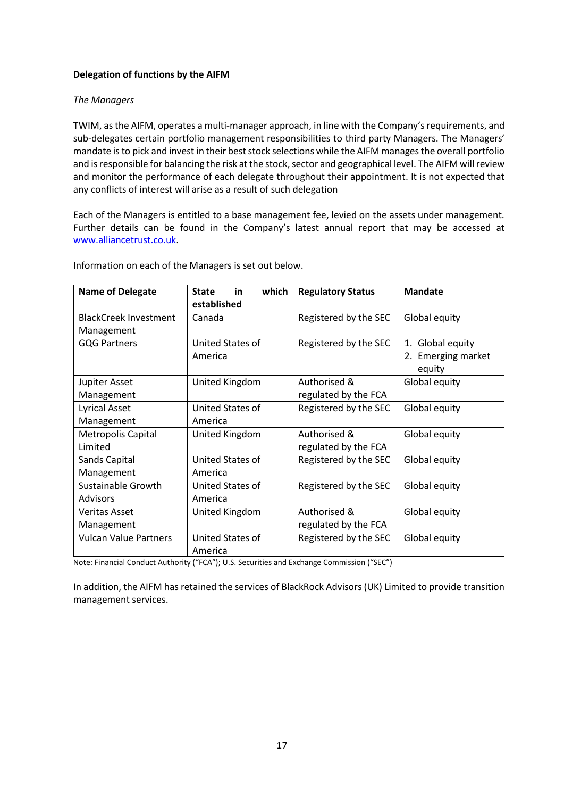### **Delegation of functions by the AIFM**

### *The Managers*

TWIM, as the AIFM, operates a multi-manager approach, in line with the Company's requirements, and sub-delegates certain portfolio management responsibilities to third party Managers. The Managers' mandate is to pick and invest in their best stock selections while the AIFM manages the overall portfolio and is responsible for balancing the risk at the stock, sector and geographical level. The AIFM will review and monitor the performance of each delegate throughout their appointment. It is not expected that any conflicts of interest will arise as a result of such delegation

Each of the Managers is entitled to a base management fee, levied on the assets under management. Further details can be found in the Company's latest annual report that may be accessed at [www.alliancetrust.co.uk.](http://www.alliancetrust.co.uk/)

| <b>Name of Delegate</b>      | which<br><b>State</b><br>in<br>established | <b>Regulatory Status</b> | <b>Mandate</b>               |
|------------------------------|--------------------------------------------|--------------------------|------------------------------|
| <b>BlackCreek Investment</b> | Canada                                     | Registered by the SEC    | Global equity                |
| Management                   |                                            |                          |                              |
| <b>GQG Partners</b>          | United States of                           | Registered by the SEC    | Global equity<br>1.          |
|                              | America                                    |                          | <b>Emerging market</b><br>2. |
|                              |                                            |                          | equity                       |
| Jupiter Asset                | United Kingdom                             | Authorised &             | Global equity                |
| Management                   |                                            | regulated by the FCA     |                              |
| Lyrical Asset                | United States of                           | Registered by the SEC    | Global equity                |
| Management                   | America                                    |                          |                              |
| <b>Metropolis Capital</b>    | United Kingdom                             | Authorised &             | Global equity                |
| Limited                      |                                            | regulated by the FCA     |                              |
| Sands Capital                | United States of                           | Registered by the SEC    | Global equity                |
| Management                   | America                                    |                          |                              |
| Sustainable Growth           | United States of                           | Registered by the SEC    | Global equity                |
| <b>Advisors</b>              | America                                    |                          |                              |
| <b>Veritas Asset</b>         | United Kingdom                             | Authorised &             | Global equity                |
| Management                   |                                            | regulated by the FCA     |                              |
| <b>Vulcan Value Partners</b> | United States of                           | Registered by the SEC    | Global equity                |
|                              | America                                    |                          |                              |

Information on each of the Managers is set out below.

Note: Financial Conduct Authority ("FCA"); U.S. Securities and Exchange Commission ("SEC")

In addition, the AIFM has retained the services of BlackRock Advisors (UK) Limited to provide transition management services.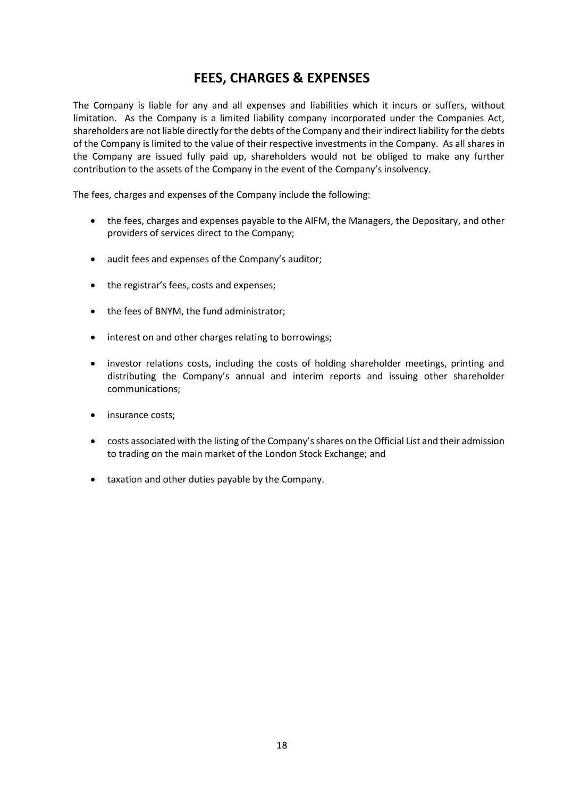### **FEES, CHARGES & EXPENSES**

The Company is liable for any and all expenses and liabilities which it incurs or suffers, without limitation. As the Company is a limited liability company incorporated under the Companies Act, shareholders are not liable directly for the debts of the Company and their indirect liability for the debts of the Company is limited to the value of their respective investments in the Company. As all shares in the Company are issued fully paid up, shareholders would not be obliged to make any further contribution to the assets of the Company in the event of the Company's insolvency.

The fees, charges and expenses of the Company include the following:

- the fees, charges and expenses payable to the AIFM, the Managers, the Depositary, and other providers of services direct to the Company;
- audit fees and expenses of the Company's auditor;
- the registrar's fees, costs and expenses;
- the fees of BNYM, the fund administrator;
- interest on and other charges relating to borrowings;
- investor relations costs, including the costs of holding shareholder meetings, printing and distributing the Company's annual and interim reports and issuing other shareholder communications;
- insurance costs;
- costs associated with the listing of the Company's shares on the Official List and their admission to trading on the main market of the London Stock Exchange; and
- taxation and other duties payable by the Company.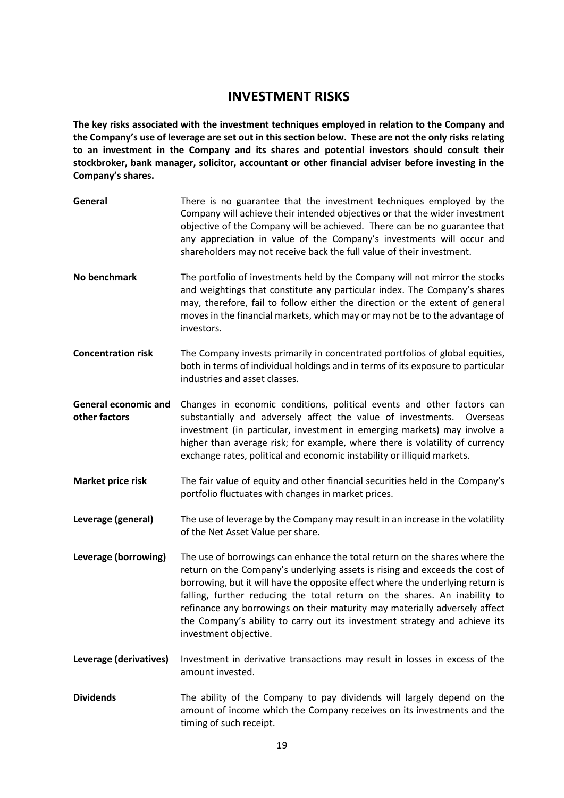### **INVESTMENT RISKS**

**The key risks associated with the investment techniques employed in relation to the Company and the Company's use of leverage are set out in this section below. These are not the only risks relating to an investment in the Company and its shares and potential investors should consult their stockbroker, bank manager, solicitor, accountant or other financial adviser before investing in the Company's shares.**

| General                                      | There is no guarantee that the investment techniques employed by the<br>Company will achieve their intended objectives or that the wider investment<br>objective of the Company will be achieved. There can be no guarantee that<br>any appreciation in value of the Company's investments will occur and<br>shareholders may not receive back the full value of their investment.                                                                                                                            |
|----------------------------------------------|---------------------------------------------------------------------------------------------------------------------------------------------------------------------------------------------------------------------------------------------------------------------------------------------------------------------------------------------------------------------------------------------------------------------------------------------------------------------------------------------------------------|
| No benchmark                                 | The portfolio of investments held by the Company will not mirror the stocks<br>and weightings that constitute any particular index. The Company's shares<br>may, therefore, fail to follow either the direction or the extent of general<br>moves in the financial markets, which may or may not be to the advantage of<br>investors.                                                                                                                                                                         |
| <b>Concentration risk</b>                    | The Company invests primarily in concentrated portfolios of global equities,<br>both in terms of individual holdings and in terms of its exposure to particular<br>industries and asset classes.                                                                                                                                                                                                                                                                                                              |
| <b>General economic and</b><br>other factors | Changes in economic conditions, political events and other factors can<br>substantially and adversely affect the value of investments.<br>Overseas<br>investment (in particular, investment in emerging markets) may involve a<br>higher than average risk; for example, where there is volatility of currency<br>exchange rates, political and economic instability or illiquid markets.                                                                                                                     |
| <b>Market price risk</b>                     | The fair value of equity and other financial securities held in the Company's<br>portfolio fluctuates with changes in market prices.                                                                                                                                                                                                                                                                                                                                                                          |
| Leverage (general)                           | The use of leverage by the Company may result in an increase in the volatility<br>of the Net Asset Value per share.                                                                                                                                                                                                                                                                                                                                                                                           |
| Leverage (borrowing)                         | The use of borrowings can enhance the total return on the shares where the<br>return on the Company's underlying assets is rising and exceeds the cost of<br>borrowing, but it will have the opposite effect where the underlying return is<br>falling, further reducing the total return on the shares. An inability to<br>refinance any borrowings on their maturity may materially adversely affect<br>the Company's ability to carry out its investment strategy and achieve its<br>investment objective. |
| Leverage (derivatives)                       | Investment in derivative transactions may result in losses in excess of the<br>amount invested.                                                                                                                                                                                                                                                                                                                                                                                                               |
| <b>Dividends</b>                             | The ability of the Company to pay dividends will largely depend on the<br>amount of income which the Company receives on its investments and the                                                                                                                                                                                                                                                                                                                                                              |

timing of such receipt.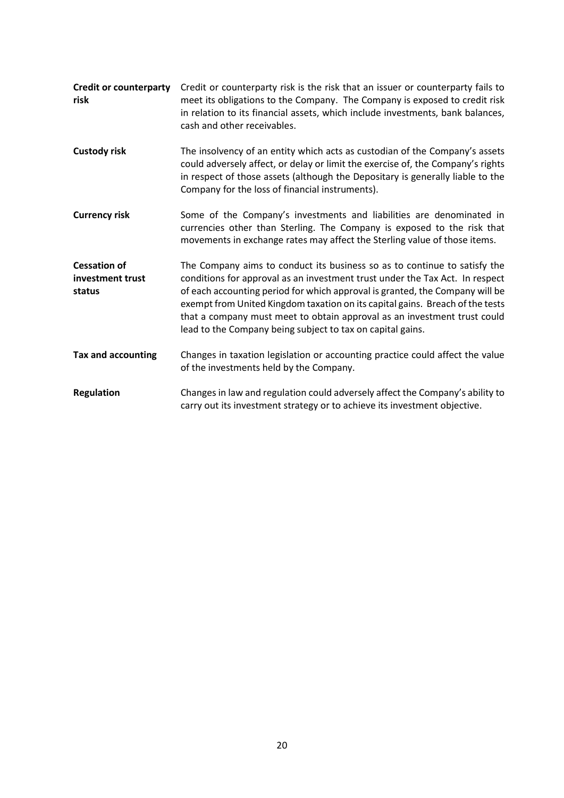| <b>Credit or counterparty</b><br>risk             | Credit or counterparty risk is the risk that an issuer or counterparty fails to<br>meet its obligations to the Company. The Company is exposed to credit risk<br>in relation to its financial assets, which include investments, bank balances,<br>cash and other receivables.                                                                                                                                                                                       |
|---------------------------------------------------|----------------------------------------------------------------------------------------------------------------------------------------------------------------------------------------------------------------------------------------------------------------------------------------------------------------------------------------------------------------------------------------------------------------------------------------------------------------------|
| <b>Custody risk</b>                               | The insolvency of an entity which acts as custodian of the Company's assets<br>could adversely affect, or delay or limit the exercise of, the Company's rights<br>in respect of those assets (although the Depositary is generally liable to the<br>Company for the loss of financial instruments).                                                                                                                                                                  |
| <b>Currency risk</b>                              | Some of the Company's investments and liabilities are denominated in<br>currencies other than Sterling. The Company is exposed to the risk that<br>movements in exchange rates may affect the Sterling value of those items.                                                                                                                                                                                                                                         |
| <b>Cessation of</b><br>investment trust<br>status | The Company aims to conduct its business so as to continue to satisfy the<br>conditions for approval as an investment trust under the Tax Act. In respect<br>of each accounting period for which approval is granted, the Company will be<br>exempt from United Kingdom taxation on its capital gains. Breach of the tests<br>that a company must meet to obtain approval as an investment trust could<br>lead to the Company being subject to tax on capital gains. |
| <b>Tax and accounting</b>                         | Changes in taxation legislation or accounting practice could affect the value<br>of the investments held by the Company.                                                                                                                                                                                                                                                                                                                                             |
| <b>Regulation</b>                                 | Changes in law and regulation could adversely affect the Company's ability to<br>carry out its investment strategy or to achieve its investment objective.                                                                                                                                                                                                                                                                                                           |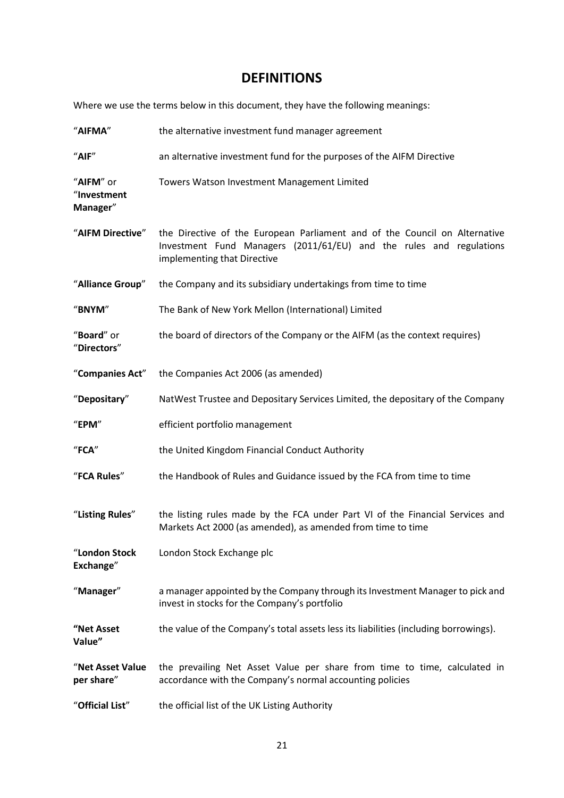### **DEFINITIONS**

Where we use the terms below in this document, they have the following meanings:

| "AIFMA"                              | the alternative investment fund manager agreement                                                                                                                                |
|--------------------------------------|----------------------------------------------------------------------------------------------------------------------------------------------------------------------------------|
| "AIF"                                | an alternative investment fund for the purposes of the AIFM Directive                                                                                                            |
| "AIFM" or<br>"Investment<br>Manager" | Towers Watson Investment Management Limited                                                                                                                                      |
| "AIFM Directive"                     | the Directive of the European Parliament and of the Council on Alternative<br>Investment Fund Managers (2011/61/EU) and the rules and regulations<br>implementing that Directive |
| "Alliance Group"                     | the Company and its subsidiary undertakings from time to time                                                                                                                    |
| "BNYM"                               | The Bank of New York Mellon (International) Limited                                                                                                                              |
| "Board" or<br>"Directors"            | the board of directors of the Company or the AIFM (as the context requires)                                                                                                      |
| "Companies Act"                      | the Companies Act 2006 (as amended)                                                                                                                                              |
| "Depositary"                         | NatWest Trustee and Depositary Services Limited, the depositary of the Company                                                                                                   |
| "EPM"                                | efficient portfolio management                                                                                                                                                   |
| $"$ FCA"                             | the United Kingdom Financial Conduct Authority                                                                                                                                   |
| "FCA Rules"                          | the Handbook of Rules and Guidance issued by the FCA from time to time                                                                                                           |
| "Listing Rules"                      | the listing rules made by the FCA under Part VI of the Financial Services and<br>Markets Act 2000 (as amended), as amended from time to time                                     |
| "London Stock<br>Exchange"           | London Stock Exchange plc                                                                                                                                                        |
| "Manager"                            | a manager appointed by the Company through its Investment Manager to pick and<br>invest in stocks for the Company's portfolio                                                    |
| "Net Asset<br>Value"                 | the value of the Company's total assets less its liabilities (including borrowings).                                                                                             |
| "Net Asset Value<br>per share"       | the prevailing Net Asset Value per share from time to time, calculated in<br>accordance with the Company's normal accounting policies                                            |
| "Official List"                      | the official list of the UK Listing Authority                                                                                                                                    |